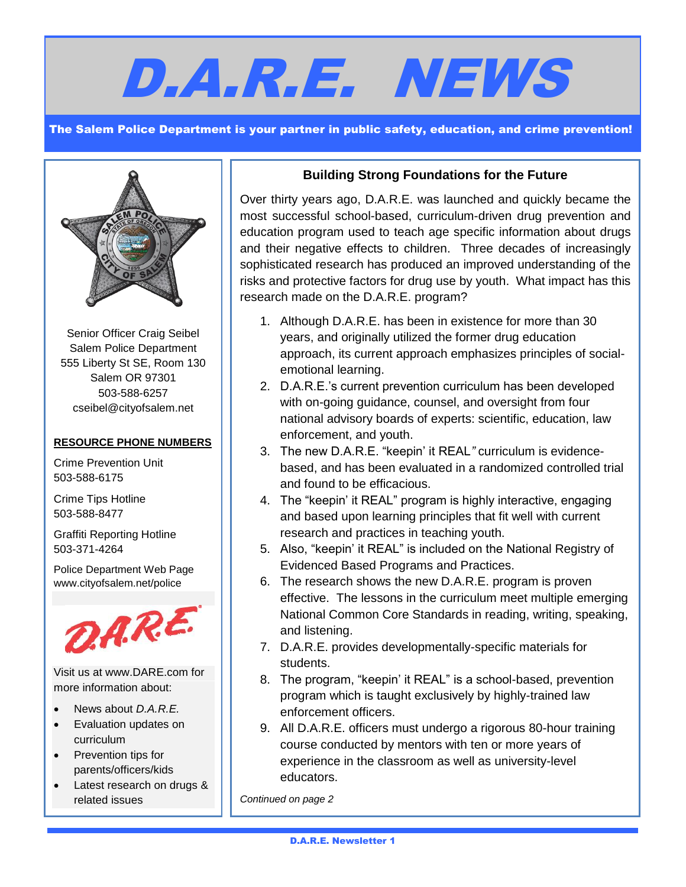# D.A.R.E. NEWS

The Salem Police Department is your partner in public safety, education, and crime prevention!



Senior Officer Craig Seibel Salem Police Department 555 Liberty St SE, Room 130 Salem OR 97301 503-588-6257 [cseibel@cityofsalem.net](mailto:cseibel@cityofsalem.net)

### **RESOURCE PHONE NUMBERS**

Crime Prevention Unit 503-588-6175

Crime Tips Hotline 503-588-8477

Graffiti Reporting Hotline 503-371-4264

Police Department Web Page www.cityofsalem.net/police



Visit us at [www.DARE.com](http://www.dare.com/) for more information about:

- News about *D.A.R.E.*
- Evaluation updates on curriculum
- Prevention tips for parents/officers/kids

I

 Latest research on drugs & related issues

## **Building Strong Foundations for the Future**

Over thirty years ago, D.A.R.E. was launched and quickly became the most successful school-based, curriculum-driven drug prevention and education program used to teach age specific information about drugs and their negative effects to children. Three decades of increasingly sophisticated research has produced an improved understanding of the risks and protective factors for drug use by youth. What impact has this research made on the D.A.R.E. program?

- 1. Although D.A.R.E. has been in existence for more than 30 years, and originally utilized the former drug education approach, its current approach emphasizes principles of socialemotional learning.
- 2. D.A.R.E.'s current prevention curriculum has been developed with on-going guidance, counsel, and oversight from four national advisory boards of experts: scientific, education, law enforcement, and youth.
- 3. The new D.A.R.E. "keepin' it REAL*"* curriculum is evidencebased, and has been evaluated in a randomized controlled trial and found to be efficacious.
- 4. The "keepin' it REAL" program is highly interactive, engaging and based upon learning principles that fit well with current research and practices in teaching youth.
- 5. Also, "keepin' it REAL" is included on the National Registry of Evidenced Based Programs and Practices.
- 6. The research shows the new D.A.R.E. program is proven effective. The lessons in the curriculum meet multiple emerging National Common Core Standards in reading, writing, speaking, and listening.
- 7. D.A.R.E. provides developmentally-specific materials for students.
- 8. The program, "keepin' it REAL" is a school-based, prevention program which is taught exclusively by highly-trained law enforcement officers.
- 9. All D.A.R.E. officers must undergo a rigorous 80-hour training course conducted by mentors with ten or more years of experience in the classroom as well as university-level educators.

*Continued on page 2*